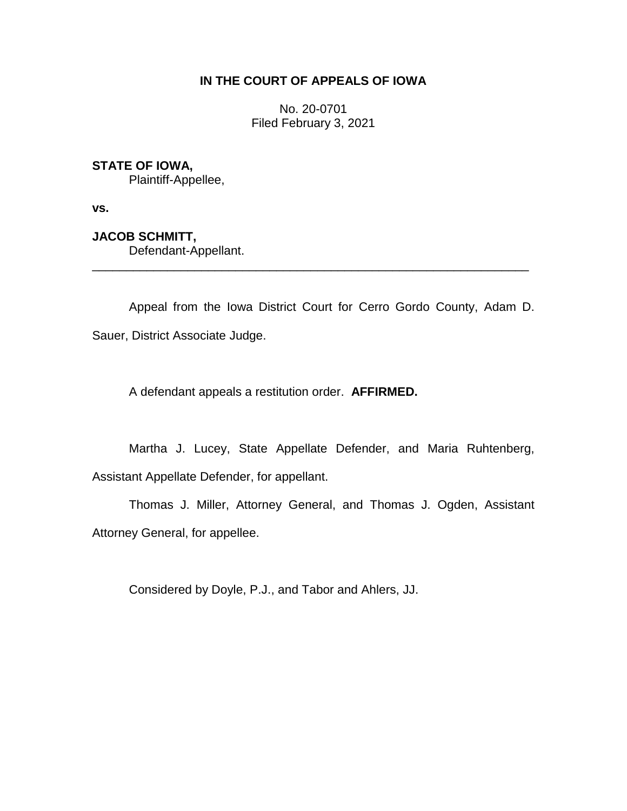# **IN THE COURT OF APPEALS OF IOWA**

No. 20-0701 Filed February 3, 2021

# **STATE OF IOWA,**

Plaintiff-Appellee,

**vs.**

**JACOB SCHMITT,** Defendant-Appellant.

Appeal from the Iowa District Court for Cerro Gordo County, Adam D. Sauer, District Associate Judge.

\_\_\_\_\_\_\_\_\_\_\_\_\_\_\_\_\_\_\_\_\_\_\_\_\_\_\_\_\_\_\_\_\_\_\_\_\_\_\_\_\_\_\_\_\_\_\_\_\_\_\_\_\_\_\_\_\_\_\_\_\_\_\_\_

A defendant appeals a restitution order. **AFFIRMED.**

Martha J. Lucey, State Appellate Defender, and Maria Ruhtenberg, Assistant Appellate Defender, for appellant.

Thomas J. Miller, Attorney General, and Thomas J. Ogden, Assistant Attorney General, for appellee.

Considered by Doyle, P.J., and Tabor and Ahlers, JJ.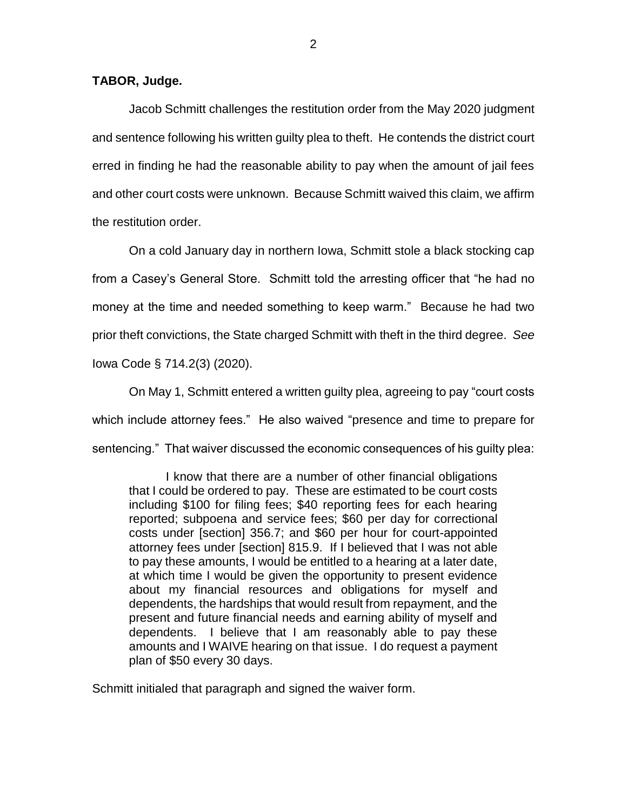### **TABOR, Judge.**

Jacob Schmitt challenges the restitution order from the May 2020 judgment and sentence following his written guilty plea to theft. He contends the district court erred in finding he had the reasonable ability to pay when the amount of jail fees and other court costs were unknown. Because Schmitt waived this claim, we affirm the restitution order.

On a cold January day in northern Iowa, Schmitt stole a black stocking cap from a Casey's General Store. Schmitt told the arresting officer that "he had no money at the time and needed something to keep warm." Because he had two prior theft convictions, the State charged Schmitt with theft in the third degree. *See* Iowa Code § 714.2(3) (2020).

On May 1, Schmitt entered a written guilty plea, agreeing to pay "court costs which include attorney fees." He also waived "presence and time to prepare for sentencing." That waiver discussed the economic consequences of his guilty plea:

I know that there are a number of other financial obligations that I could be ordered to pay. These are estimated to be court costs including \$100 for filing fees; \$40 reporting fees for each hearing reported; subpoena and service fees; \$60 per day for correctional costs under [section] 356.7; and \$60 per hour for court-appointed attorney fees under [section] 815.9. If I believed that I was not able to pay these amounts, I would be entitled to a hearing at a later date, at which time I would be given the opportunity to present evidence about my financial resources and obligations for myself and dependents, the hardships that would result from repayment, and the present and future financial needs and earning ability of myself and dependents. I believe that I am reasonably able to pay these amounts and I WAIVE hearing on that issue. I do request a payment plan of \$50 every 30 days.

Schmitt initialed that paragraph and signed the waiver form.

2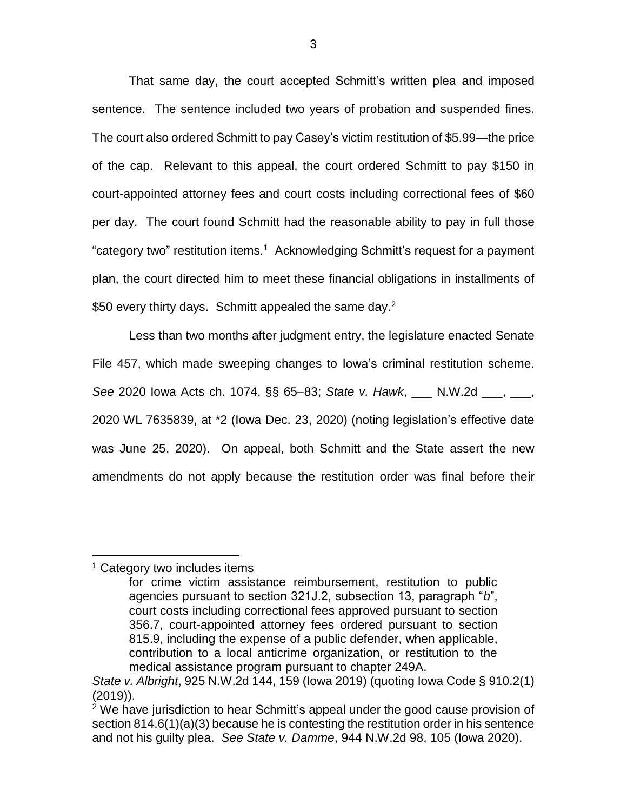That same day, the court accepted Schmitt's written plea and imposed sentence. The sentence included two years of probation and suspended fines. The court also ordered Schmitt to pay Casey's victim restitution of \$5.99—the price of the cap. Relevant to this appeal, the court ordered Schmitt to pay \$150 in court-appointed attorney fees and court costs including correctional fees of \$60 per day. The court found Schmitt had the reasonable ability to pay in full those "category two" restitution items.<sup>1</sup> Acknowledging Schmitt's request for a payment plan, the court directed him to meet these financial obligations in installments of \$50 every thirty days. Schmitt appealed the same day.<sup>2</sup>

Less than two months after judgment entry, the legislature enacted Senate File 457, which made sweeping changes to Iowa's criminal restitution scheme. *See* 2020 Iowa Acts ch. 1074, §§ 65–83; *State v. Hawk*, \_\_\_ N.W.2d \_\_\_, \_\_\_, 2020 WL 7635839, at \*2 (Iowa Dec. 23, 2020) (noting legislation's effective date was June 25, 2020). On appeal, both Schmitt and the State assert the new amendments do not apply because the restitution order was final before their

### <sup>1</sup> Category two includes items

 $\overline{a}$ 

for crime victim assistance reimbursement, restitution to public agencies pursuant to section 321J.2, subsection 13, paragraph "*b*", court costs including correctional fees approved pursuant to section 356.7, court-appointed attorney fees ordered pursuant to section 815.9, including the expense of a public defender, when applicable, contribution to a local anticrime organization, or restitution to the medical assistance program pursuant to chapter 249A.

*State v. Albright*, 925 N.W.2d 144, 159 (Iowa 2019) (quoting Iowa Code § 910.2(1) (2019)).

 $2$  We have jurisdiction to hear Schmitt's appeal under the good cause provision of section 814.6(1)(a)(3) because he is contesting the restitution order in his sentence and not his guilty plea. *See State v. Damme*, 944 N.W.2d 98, 105 (Iowa 2020).